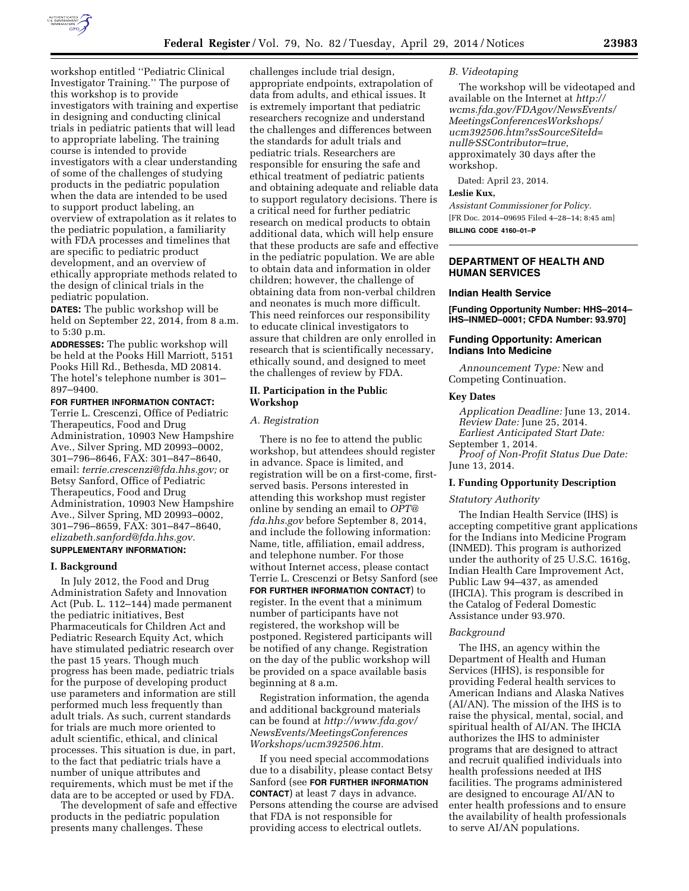

workshop entitled ''Pediatric Clinical Investigator Training.'' The purpose of this workshop is to provide investigators with training and expertise in designing and conducting clinical trials in pediatric patients that will lead to appropriate labeling. The training course is intended to provide investigators with a clear understanding of some of the challenges of studying products in the pediatric population when the data are intended to be used to support product labeling, an overview of extrapolation as it relates to the pediatric population, a familiarity with FDA processes and timelines that are specific to pediatric product development, and an overview of ethically appropriate methods related to the design of clinical trials in the pediatric population.

**DATES:** The public workshop will be held on September 22, 2014, from 8 a.m. to 5:30 p.m.

**ADDRESSES:** The public workshop will be held at the Pooks Hill Marriott, 5151 Pooks Hill Rd., Bethesda, MD 20814. The hotel's telephone number is 301– 897–9400.

#### **FOR FURTHER INFORMATION CONTACT:**  Terrie L. Crescenzi, Office of Pediatric

Therapeutics, Food and Drug Administration, 10903 New Hampshire Ave., Silver Spring, MD 20993–0002, 301–796–8646, FAX: 301–847–8640, email: *[terrie.crescenzi@fda.hhs.gov;](mailto:terrie.crescenzi@fda.hhs.gov)* or Betsy Sanford, Office of Pediatric Therapeutics, Food and Drug Administration, 10903 New Hampshire Ave., Silver Spring, MD 20993-0002, 301–796–8659, FAX: 301–847–8640, *[elizabeth.sanford@fda.hhs.gov.](mailto:elizabeth.sanford@fda.hhs.gov)* 

# **SUPPLEMENTARY INFORMATION:**

### **I. Background**

In July 2012, the Food and Drug Administration Safety and Innovation Act (Pub. L. 112–144) made permanent the pediatric initiatives, Best Pharmaceuticals for Children Act and Pediatric Research Equity Act, which have stimulated pediatric research over the past 15 years. Though much progress has been made, pediatric trials for the purpose of developing product use parameters and information are still performed much less frequently than adult trials. As such, current standards for trials are much more oriented to adult scientific, ethical, and clinical processes. This situation is due, in part, to the fact that pediatric trials have a number of unique attributes and requirements, which must be met if the data are to be accepted or used by FDA.

The development of safe and effective products in the pediatric population presents many challenges. These

challenges include trial design, appropriate endpoints, extrapolation of data from adults, and ethical issues. It is extremely important that pediatric researchers recognize and understand the challenges and differences between the standards for adult trials and pediatric trials. Researchers are responsible for ensuring the safe and ethical treatment of pediatric patients and obtaining adequate and reliable data to support regulatory decisions. There is a critical need for further pediatric research on medical products to obtain additional data, which will help ensure that these products are safe and effective in the pediatric population. We are able to obtain data and information in older children; however, the challenge of obtaining data from non-verbal children and neonates is much more difficult. This need reinforces our responsibility to educate clinical investigators to assure that children are only enrolled in research that is scientifically necessary, ethically sound, and designed to meet the challenges of review by FDA.

# **II. Participation in the Public Workshop**

#### *A. Registration*

There is no fee to attend the public workshop, but attendees should register in advance. Space is limited, and registration will be on a first-come, firstserved basis. Persons interested in attending this workshop must register online by sending an email to *[OPT@](mailto:OPT@fda.hhs.gov) [fda.hhs.gov](mailto:OPT@fda.hhs.gov)* before September 8, 2014, and include the following information: Name, title, affiliation, email address, and telephone number. For those without Internet access, please contact Terrie L. Crescenzi or Betsy Sanford (see **FOR FURTHER INFORMATION CONTACT**) to register. In the event that a minimum number of participants have not registered, the workshop will be postponed. Registered participants will be notified of any change. Registration on the day of the public workshop will be provided on a space available basis beginning at 8 a.m.

Registration information, the agenda and additional background materials can be found at *[http://www.fda.gov/](http://www.fda.gov/NewsEvents/MeetingsConferencesWorkshops/ucm392506.htm) [NewsEvents/MeetingsConferences](http://www.fda.gov/NewsEvents/MeetingsConferencesWorkshops/ucm392506.htm) [Workshops/ucm392506.htm.](http://www.fda.gov/NewsEvents/MeetingsConferencesWorkshops/ucm392506.htm)* 

If you need special accommodations due to a disability, please contact Betsy Sanford (see **FOR FURTHER INFORMATION CONTACT**) at least 7 days in advance. Persons attending the course are advised that FDA is not responsible for providing access to electrical outlets.

### *B. Videotaping*

The workshop will be videotaped and available on the Internet at *[http://](http://wcms.fda.gov/FDAgov/NewsEvents/MeetingsConferencesWorkshops/ucm392506.htm?ssSourceSiteId=null&SSContributor=true) [wcms.fda.gov/FDAgov/NewsEvents/](http://wcms.fda.gov/FDAgov/NewsEvents/MeetingsConferencesWorkshops/ucm392506.htm?ssSourceSiteId=null&SSContributor=true)  [MeetingsConferencesWorkshops/](http://wcms.fda.gov/FDAgov/NewsEvents/MeetingsConferencesWorkshops/ucm392506.htm?ssSourceSiteId=null&SSContributor=true)  [ucm392506.htm?ssSourceSiteId=](http://wcms.fda.gov/FDAgov/NewsEvents/MeetingsConferencesWorkshops/ucm392506.htm?ssSourceSiteId=null&SSContributor=true) [null&SSContributor=true,](http://wcms.fda.gov/FDAgov/NewsEvents/MeetingsConferencesWorkshops/ucm392506.htm?ssSourceSiteId=null&SSContributor=true)*  approximately 30 days after the workshop.

Dated: April 23, 2014.

# **Leslie Kux,**

*Assistant Commissioner for Policy.*  [FR Doc. 2014–09695 Filed 4–28–14; 8:45 am] **BILLING CODE 4160–01–P** 

# **DEPARTMENT OF HEALTH AND HUMAN SERVICES**

### **Indian Health Service**

**[Funding Opportunity Number: HHS–2014– IHS–INMED–0001; CFDA Number: 93.970]** 

### **Funding Opportunity: American Indians Into Medicine**

*Announcement Type:* New and Competing Continuation.

#### **Key Dates**

*Application Deadline:* June 13, 2014. *Review Date:* June 25, 2014. *Earliest Anticipated Start Date:* 

September 1, 2014.

*Proof of Non-Profit Status Due Date:*  June 13, 2014.

#### **I. Funding Opportunity Description**

#### *Statutory Authority*

The Indian Health Service (IHS) is accepting competitive grant applications for the Indians into Medicine Program (INMED). This program is authorized under the authority of 25 U.S.C. 1616g, Indian Health Care Improvement Act, Public Law 94–437, as amended (IHCIA). This program is described in the Catalog of Federal Domestic Assistance under 93.970.

# *Background*

The IHS, an agency within the Department of Health and Human Services (HHS), is responsible for providing Federal health services to American Indians and Alaska Natives (AI/AN). The mission of the IHS is to raise the physical, mental, social, and spiritual health of AI/AN. The IHCIA authorizes the IHS to administer programs that are designed to attract and recruit qualified individuals into health professions needed at IHS facilities. The programs administered are designed to encourage AI/AN to enter health professions and to ensure the availability of health professionals to serve AI/AN populations.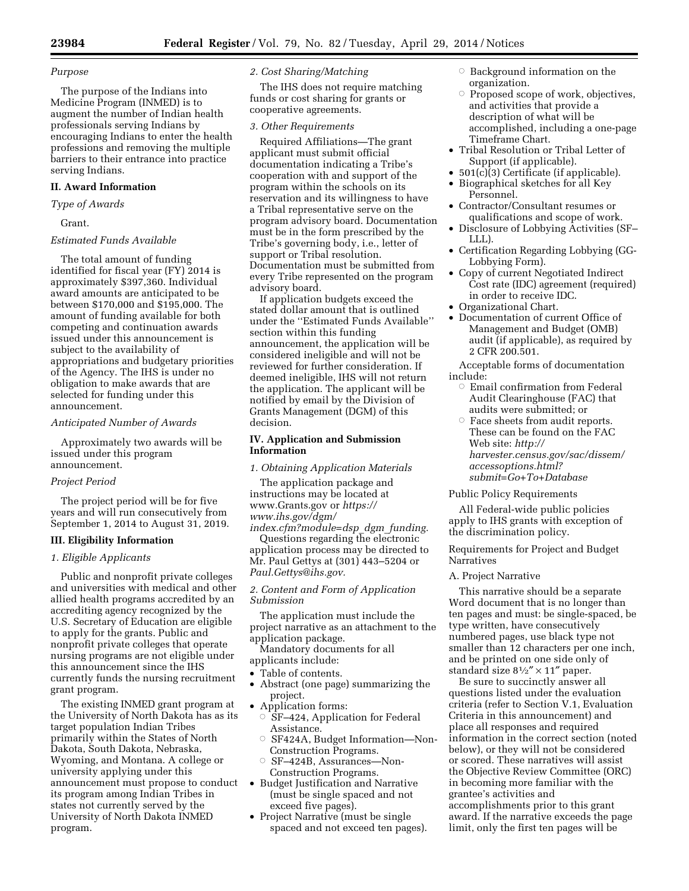### *Purpose*

The purpose of the Indians into Medicine Program (INMED) is to augment the number of Indian health professionals serving Indians by encouraging Indians to enter the health professions and removing the multiple barriers to their entrance into practice serving Indians.

# **II. Award Information**

*Type of Awards* 

Grant.

# *Estimated Funds Available*

The total amount of funding identified for fiscal year (FY) 2014 is approximately \$397,360. Individual award amounts are anticipated to be between \$170,000 and \$195,000. The amount of funding available for both competing and continuation awards issued under this announcement is subject to the availability of appropriations and budgetary priorities of the Agency. The IHS is under no obligation to make awards that are selected for funding under this announcement.

#### *Anticipated Number of Awards*

Approximately two awards will be issued under this program announcement.

### *Project Period*

The project period will be for five years and will run consecutively from September 1, 2014 to August 31, 2019.

# **III. Eligibility Information**

# *1. Eligible Applicants*

Public and nonprofit private colleges and universities with medical and other allied health programs accredited by an accrediting agency recognized by the U.S. Secretary of Education are eligible to apply for the grants. Public and nonprofit private colleges that operate nursing programs are not eligible under this announcement since the IHS currently funds the nursing recruitment grant program.

The existing INMED grant program at the University of North Dakota has as its target population Indian Tribes primarily within the States of North Dakota, South Dakota, Nebraska, Wyoming, and Montana. A college or university applying under this announcement must propose to conduct its program among Indian Tribes in states not currently served by the University of North Dakota INMED program.

# *2. Cost Sharing/Matching*

The IHS does not require matching funds or cost sharing for grants or cooperative agreements.

#### *3. Other Requirements*

Required Affiliations—The grant applicant must submit official documentation indicating a Tribe's cooperation with and support of the program within the schools on its reservation and its willingness to have a Tribal representative serve on the program advisory board. Documentation must be in the form prescribed by the Tribe's governing body, i.e., letter of support or Tribal resolution. Documentation must be submitted from every Tribe represented on the program advisory board.

If application budgets exceed the stated dollar amount that is outlined under the ''Estimated Funds Available'' section within this funding announcement, the application will be considered ineligible and will not be reviewed for further consideration. If deemed ineligible, IHS will not return the application. The applicant will be notified by email by the Division of Grants Management (DGM) of this decision.

# **IV. Application and Submission Information**

*1. Obtaining Application Materials* 

The application package and instructions may be located at [www.Grants.gov o](http://www.Grants.gov)r *[https://](https://www.ihs.gov/dgm/index.cfm?module=dsp_dgm_funding) [www.ihs.gov/dgm/](https://www.ihs.gov/dgm/index.cfm?module=dsp_dgm_funding) [index.cfm?module=dsp](https://www.ihs.gov/dgm/index.cfm?module=dsp_dgm_funding)*\_*dgm*\_*funding.* 

Questions regarding the electronic application process may be directed to Mr. Paul Gettys at (301) 443–5204 or *[Paul.Gettys@ihs.gov.](mailto:Paul.Gettys@ihs.gov)* 

# *2. Content and Form of Application Submission*

The application must include the project narrative as an attachment to the application package.

Mandatory documents for all

- applicants include:
- Table of contents.
- Abstract (one page) summarizing the project.
- Application forms:
- $\circ$  SF–424, Application for Federal Assistance.
- Æ SF424A, Budget Information—Non-Construction Programs.
- $\bigcirc$  SF–424B, Assurances—Non-Construction Programs.
- Budget Justification and Narrative (must be single spaced and not exceed five pages).
- Project Narrative (must be single spaced and not exceed ten pages).
- $\circ$  Background information on the organization.
- Æ Proposed scope of work, objectives, and activities that provide a description of what will be accomplished, including a one-page Timeframe Chart.
- Tribal Resolution or Tribal Letter of Support (if applicable).
- $501(c)(3)$  Certificate (if applicable).
- Biographical sketches for all Key Personnel.
- Contractor/Consultant resumes or qualifications and scope of work.
- Disclosure of Lobbying Activities (SF– LLL).
- Certification Regarding Lobbying (GG-Lobbying Form).
- Copy of current Negotiated Indirect Cost rate (IDC) agreement (required) in order to receive IDC.
- Organizational Chart.
- Documentation of current Office of Management and Budget (OMB) audit (if applicable), as required by 2 CFR 200.501.

Acceptable forms of documentation include:

- $\circ~$  Email confirmation from Federal Audit Clearinghouse (FAC) that audits were submitted; or
- Æ Face sheets from audit reports. These can be found on the FAC Web site: *[http://](http://harvester.census.gov/sac/dissem/accessoptions.html?submit=Go+To+Database)  [harvester.census.gov/sac/dissem/](http://harvester.census.gov/sac/dissem/accessoptions.html?submit=Go+To+Database) [accessoptions.html?](http://harvester.census.gov/sac/dissem/accessoptions.html?submit=Go+To+Database) [submit=Go+To+Database](http://harvester.census.gov/sac/dissem/accessoptions.html?submit=Go+To+Database)*

Public Policy Requirements

All Federal-wide public policies apply to IHS grants with exception of the discrimination policy.

Requirements for Project and Budget Narratives

# A. Project Narrative

This narrative should be a separate Word document that is no longer than ten pages and must: be single-spaced, be type written, have consecutively numbered pages, use black type not smaller than 12 characters per one inch, and be printed on one side only of standard size  $8\frac{1}{2}$ " × 11" paper.

Be sure to succinctly answer all questions listed under the evaluation criteria (refer to Section V.1, Evaluation Criteria in this announcement) and place all responses and required information in the correct section (noted below), or they will not be considered or scored. These narratives will assist the Objective Review Committee (ORC) in becoming more familiar with the grantee's activities and accomplishments prior to this grant award. If the narrative exceeds the page limit, only the first ten pages will be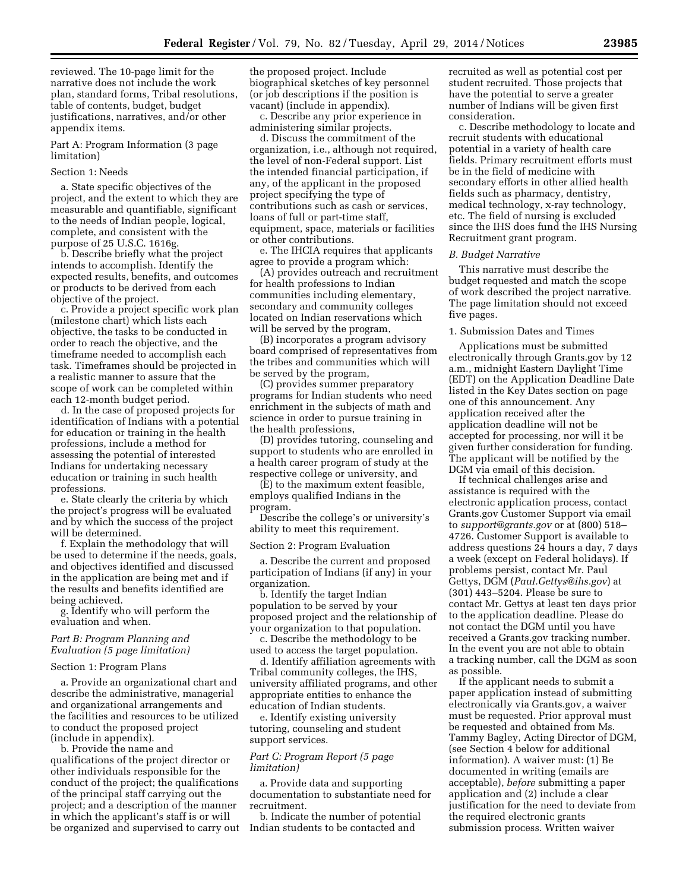reviewed. The 10-page limit for the narrative does not include the work plan, standard forms, Tribal resolutions, table of contents, budget, budget justifications, narratives, and/or other appendix items.

Part A: Program Information (3 page limitation)

# Section 1: Needs

a. State specific objectives of the project, and the extent to which they are measurable and quantifiable, significant to the needs of Indian people, logical, complete, and consistent with the purpose of 25 U.S.C. 1616g.

b. Describe briefly what the project intends to accomplish. Identify the expected results, benefits, and outcomes or products to be derived from each objective of the project.

c. Provide a project specific work plan (milestone chart) which lists each objective, the tasks to be conducted in order to reach the objective, and the timeframe needed to accomplish each task. Timeframes should be projected in a realistic manner to assure that the scope of work can be completed within each 12-month budget period.

d. In the case of proposed projects for identification of Indians with a potential for education or training in the health professions, include a method for assessing the potential of interested Indians for undertaking necessary education or training in such health professions.

e. State clearly the criteria by which the project's progress will be evaluated and by which the success of the project will be determined.

f. Explain the methodology that will be used to determine if the needs, goals, and objectives identified and discussed in the application are being met and if the results and benefits identified are being achieved.

g. Identify who will perform the evaluation and when.

# *Part B: Program Planning and Evaluation (5 page limitation)*

#### Section 1: Program Plans

a. Provide an organizational chart and describe the administrative, managerial and organizational arrangements and the facilities and resources to be utilized to conduct the proposed project (include in appendix).

b. Provide the name and qualifications of the project director or other individuals responsible for the conduct of the project; the qualifications of the principal staff carrying out the project; and a description of the manner in which the applicant's staff is or will be organized and supervised to carry out the proposed project. Include biographical sketches of key personnel (or job descriptions if the position is vacant) (include in appendix).

c. Describe any prior experience in administering similar projects.

d. Discuss the commitment of the organization, i.e., although not required, the level of non-Federal support. List the intended financial participation, if any, of the applicant in the proposed project specifying the type of contributions such as cash or services, loans of full or part-time staff, equipment, space, materials or facilities or other contributions.

e. The IHCIA requires that applicants agree to provide a program which:

(A) provides outreach and recruitment for health professions to Indian communities including elementary, secondary and community colleges located on Indian reservations which will be served by the program,

(B) incorporates a program advisory board comprised of representatives from the tribes and communities which will be served by the program,

(C) provides summer preparatory programs for Indian students who need enrichment in the subjects of math and science in order to pursue training in the health professions,

(D) provides tutoring, counseling and support to students who are enrolled in a health career program of study at the respective college or university, and

(E) to the maximum extent feasible, employs qualified Indians in the program.

Describe the college's or university's ability to meet this requirement.

#### Section 2: Program Evaluation

a. Describe the current and proposed participation of Indians (if any) in your organization.

b. Identify the target Indian population to be served by your proposed project and the relationship of your organization to that population.

c. Describe the methodology to be used to access the target population.

d. Identify affiliation agreements with Tribal community colleges, the IHS, university affiliated programs, and other appropriate entities to enhance the education of Indian students.

e. Identify existing university tutoring, counseling and student support services.

# *Part C: Program Report (5 page limitation)*

a. Provide data and supporting documentation to substantiate need for recruitment.

b. Indicate the number of potential Indian students to be contacted and

recruited as well as potential cost per student recruited. Those projects that have the potential to serve a greater number of Indians will be given first consideration.

c. Describe methodology to locate and recruit students with educational potential in a variety of health care fields. Primary recruitment efforts must be in the field of medicine with secondary efforts in other allied health fields such as pharmacy, dentistry, medical technology, x-ray technology, etc. The field of nursing is excluded since the IHS does fund the IHS Nursing Recruitment grant program.

### *B. Budget Narrative*

This narrative must describe the budget requested and match the scope of work described the project narrative. The page limitation should not exceed five pages.

### 1. Submission Dates and Times

Applications must be submitted electronically through Grants.gov by 12 a.m., midnight Eastern Daylight Time (EDT) on the Application Deadline Date listed in the Key Dates section on page one of this announcement. Any application received after the application deadline will not be accepted for processing, nor will it be given further consideration for funding. The applicant will be notified by the DGM via email of this decision.

If technical challenges arise and assistance is required with the electronic application process, contact Grants.gov Customer Support via email to *[support@grants.gov](mailto:support@grants.gov)* or at (800) 518– 4726. Customer Support is available to address questions 24 hours a day, 7 days a week (except on Federal holidays). If problems persist, contact Mr. Paul Gettys, DGM (*[Paul.Gettys@ihs.gov](mailto:Paul.Gettys@ihs.gov)*) at (301) 443–5204. Please be sure to contact Mr. Gettys at least ten days prior to the application deadline. Please do not contact the DGM until you have received a Grants.gov tracking number. In the event you are not able to obtain a tracking number, call the DGM as soon as possible.

If the applicant needs to submit a paper application instead of submitting electronically via Grants.gov, a waiver must be requested. Prior approval must be requested and obtained from Ms. Tammy Bagley, Acting Director of DGM, (see Section 4 below for additional information). A waiver must: (1) Be documented in writing (emails are acceptable), *before* submitting a paper application and (2) include a clear justification for the need to deviate from the required electronic grants submission process. Written waiver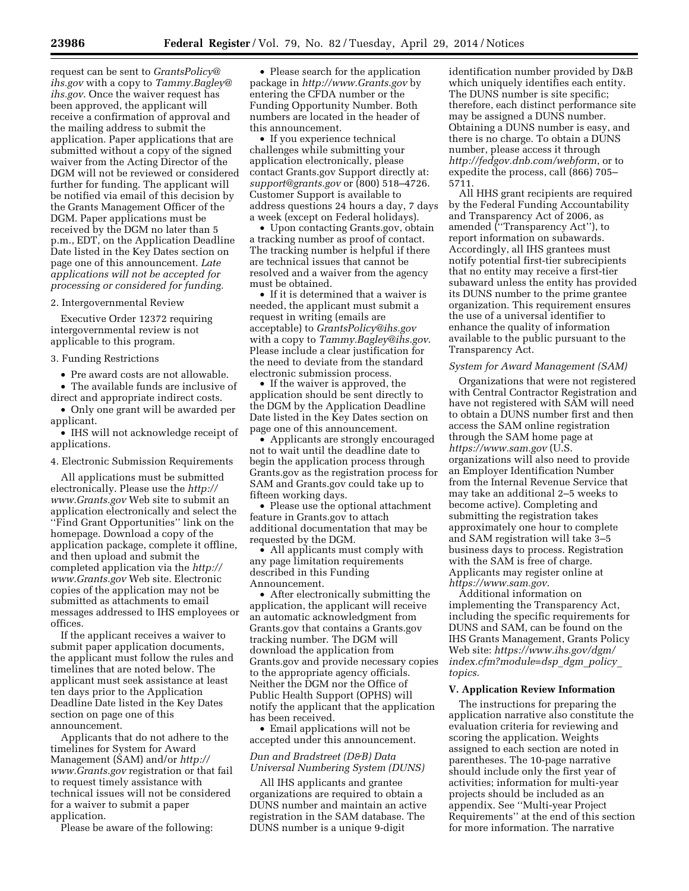request can be sent to *[GrantsPolicy@](mailto:GrantsPolicy@ihs.gov) [ihs.gov](mailto:GrantsPolicy@ihs.gov)* with a copy to *[Tammy.Bagley@](mailto:Tammy.Bagley@ihs.gov) [ihs.gov](mailto:Tammy.Bagley@ihs.gov)*. Once the waiver request has been approved, the applicant will receive a confirmation of approval and the mailing address to submit the application. Paper applications that are submitted without a copy of the signed waiver from the Acting Director of the DGM will not be reviewed or considered further for funding. The applicant will be notified via email of this decision by the Grants Management Officer of the DGM. Paper applications must be received by the DGM no later than 5 p.m., EDT, on the Application Deadline Date listed in the Key Dates section on page one of this announcement. *Late applications will not be accepted for processing or considered for funding.* 

### 2. Intergovernmental Review

Executive Order 12372 requiring intergovernmental review is not applicable to this program.

### 3. Funding Restrictions

• Pre award costs are not allowable.

• The available funds are inclusive of direct and appropriate indirect costs.

• Only one grant will be awarded per applicant.

• IHS will not acknowledge receipt of applications.

4. Electronic Submission Requirements

All applications must be submitted electronically. Please use the *[http://](http://www.Grants.gov) [www.Grants.gov](http://www.Grants.gov)* Web site to submit an application electronically and select the ''Find Grant Opportunities'' link on the homepage. Download a copy of the application package, complete it offline, and then upload and submit the completed application via the *[http://](http://www.Grants.gov) [www.Grants.gov](http://www.Grants.gov)* Web site. Electronic copies of the application may not be submitted as attachments to email messages addressed to IHS employees or offices.

If the applicant receives a waiver to submit paper application documents, the applicant must follow the rules and timelines that are noted below. The applicant must seek assistance at least ten days prior to the Application Deadline Date listed in the Key Dates section on page one of this announcement.

Applicants that do not adhere to the timelines for System for Award Management (SAM) and/or *[http://](http://www.Grants.gov) [www.Grants.gov](http://www.Grants.gov)* registration or that fail to request timely assistance with technical issues will not be considered for a waiver to submit a paper application.

Please be aware of the following:

• Please search for the application package in *<http://www.Grants.gov>* by entering the CFDA number or the Funding Opportunity Number. Both numbers are located in the header of this announcement.

• If you experience technical challenges while submitting your application electronically, please contact Grants.gov Support directly at: *[support@grants.gov](mailto:support@grants.gov)* or (800) 518–4726. Customer Support is available to address questions 24 hours a day, 7 days a week (except on Federal holidays).

• Upon contacting Grants.gov, obtain a tracking number as proof of contact. The tracking number is helpful if there are technical issues that cannot be resolved and a waiver from the agency must be obtained.

• If it is determined that a waiver is needed, the applicant must submit a request in writing (emails are acceptable) to *[GrantsPolicy@ihs.gov](mailto:GrantsPolicy@ihs.gov)*  with a copy to *[Tammy.Bagley@ihs.gov](mailto:Tammy.Bagley@ihs.gov)*. Please include a clear justification for the need to deviate from the standard electronic submission process.

• If the waiver is approved, the application should be sent directly to the DGM by the Application Deadline Date listed in the Key Dates section on page one of this announcement.

• Applicants are strongly encouraged not to wait until the deadline date to begin the application process through Grants.gov as the registration process for SAM and Grants.gov could take up to fifteen working days.

• Please use the optional attachment feature in Grants.gov to attach additional documentation that may be requested by the DGM.

• All applicants must comply with any page limitation requirements described in this Funding Announcement.

• After electronically submitting the application, the applicant will receive an automatic acknowledgment from Grants.gov that contains a Grants.gov tracking number. The DGM will download the application from Grants.gov and provide necessary copies to the appropriate agency officials. Neither the DGM nor the Office of Public Health Support (OPHS) will notify the applicant that the application has been received.

• Email applications will not be accepted under this announcement.

# *Dun and Bradstreet (D&B) Data Universal Numbering System (DUNS)*

All IHS applicants and grantee organizations are required to obtain a DUNS number and maintain an active registration in the SAM database. The DUNS number is a unique 9-digit

identification number provided by D&B which uniquely identifies each entity. The DUNS number is site specific; therefore, each distinct performance site may be assigned a DUNS number. Obtaining a DUNS number is easy, and there is no charge. To obtain a DUNS number, please access it through *<http://fedgov.dnb.com/webform>*, or to expedite the process, call (866) 705– 5711.

All HHS grant recipients are required by the Federal Funding Accountability and Transparency Act of 2006, as amended (''Transparency Act''), to report information on subawards. Accordingly, all IHS grantees must notify potential first-tier subrecipients that no entity may receive a first-tier subaward unless the entity has provided its DUNS number to the prime grantee organization. This requirement ensures the use of a universal identifier to enhance the quality of information available to the public pursuant to the Transparency Act.

#### *System for Award Management (SAM)*

Organizations that were not registered with Central Contractor Registration and have not registered with SAM will need to obtain a DUNS number first and then access the SAM online registration through the SAM home page at *<https://www.sam.gov>* (U.S. organizations will also need to provide an Employer Identification Number from the Internal Revenue Service that may take an additional 2–5 weeks to become active). Completing and submitting the registration takes approximately one hour to complete and SAM registration will take 3–5 business days to process. Registration with the SAM is free of charge. Applicants may register online at *<https://www.sam.gov>*.

Additional information on implementing the Transparency Act, including the specific requirements for DUNS and SAM, can be found on the IHS Grants Management, Grants Policy Web site: *[https://www.ihs.gov/dgm/](https://www.ihs.gov/dgm/index.cfm?module=dsp_dgm_policy_topics) [index.cfm?module=dsp](https://www.ihs.gov/dgm/index.cfm?module=dsp_dgm_policy_topics)*\_*dgm*\_*policy*\_ *[topics](https://www.ihs.gov/dgm/index.cfm?module=dsp_dgm_policy_topics)*.

#### **V. Application Review Information**

The instructions for preparing the application narrative also constitute the evaluation criteria for reviewing and scoring the application. Weights assigned to each section are noted in parentheses. The 10-page narrative should include only the first year of activities; information for multi-year projects should be included as an appendix. See ''Multi-year Project Requirements'' at the end of this section for more information. The narrative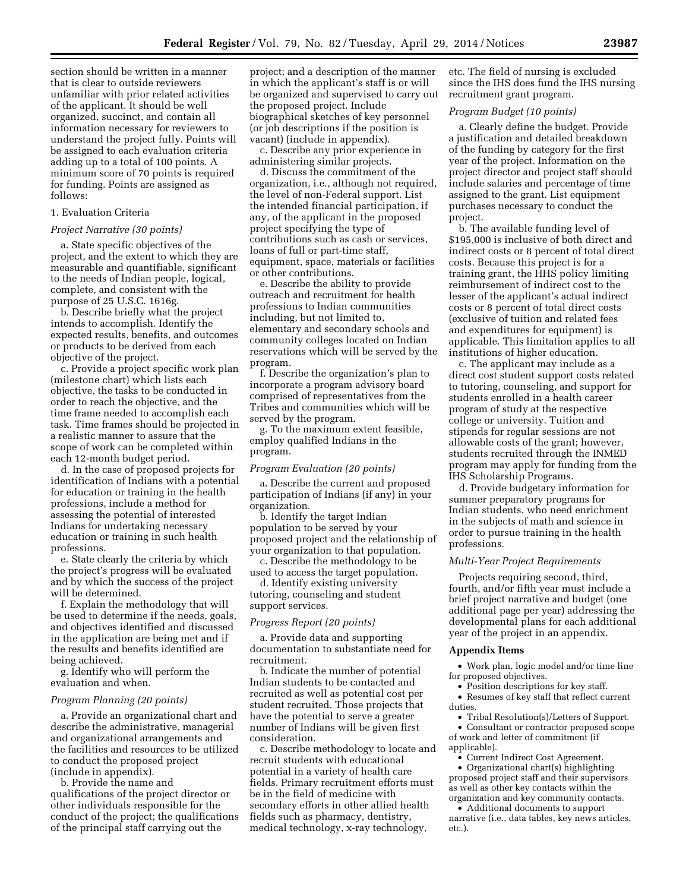section should be written in a manner that is clear to outside reviewers unfamiliar with prior related activities of the applicant. It should be well organized, succinct, and contain all information necessary for reviewers to understand the project fully. Points will be assigned to each evaluation criteria adding up to a total of 100 points. A minimum score of 70 points is required for funding. Points are assigned as follows:

#### 1. Evaluation Criteria

#### *Project Narrative (30 points)*

a. State specific objectives of the project, and the extent to which they are measurable and quantifiable, significant to the needs of Indian people, logical, complete, and consistent with the purpose of 25 U.S.C. 1616g.

b. Describe briefly what the project intends to accomplish. Identify the expected results, benefits, and outcomes or products to be derived from each objective of the project.

c. Provide a project specific work plan (milestone chart) which lists each objective, the tasks to be conducted in order to reach the objective, and the time frame needed to accomplish each task. Time frames should be projected in a realistic manner to assure that the scope of work can be completed within each 12-month budget period.

d. In the case of proposed projects for identification of Indians with a potential for education or training in the health professions, include a method for assessing the potential of interested Indians for undertaking necessary education or training in such health professions.

e. State clearly the criteria by which the project's progress will be evaluated and by which the success of the project will be determined.

f. Explain the methodology that will be used to determine if the needs, goals, and objectives identified and discussed in the application are being met and if the results and benefits identified are being achieved.

g. Identify who will perform the evaluation and when.

#### *Program Planning (20 points)*

a. Provide an organizational chart and describe the administrative, managerial and organizational arrangements and the facilities and resources to be utilized to conduct the proposed project (include in appendix).

b. Provide the name and qualifications of the project director or other individuals responsible for the conduct of the project; the qualifications of the principal staff carrying out the

project; and a description of the manner in which the applicant's staff is or will be organized and supervised to carry out the proposed project. Include biographical sketches of key personnel (or job descriptions if the position is vacant) (include in appendix).

c. Describe any prior experience in administering similar projects.

d. Discuss the commitment of the organization, i.e., although not required, the level of non-Federal support. List the intended financial participation, if any, of the applicant in the proposed project specifying the type of contributions such as cash or services, loans of full or part-time staff, equipment, space, materials or facilities or other contributions.

e. Describe the ability to provide outreach and recruitment for health professions to Indian communities including, but not limited to, elementary and secondary schools and community colleges located on Indian reservations which will be served by the program.

f. Describe the organization's plan to incorporate a program advisory board comprised of representatives from the Tribes and communities which will be served by the program.

g. To the maximum extent feasible, employ qualified Indians in the program.

### *Program Evaluation (20 points)*

a. Describe the current and proposed participation of Indians (if any) in your organization.

b. Identify the target Indian population to be served by your proposed project and the relationship of your organization to that population.

c. Describe the methodology to be used to access the target population.

d. Identify existing university tutoring, counseling and student support services.

# *Progress Report (20 points)*

a. Provide data and supporting documentation to substantiate need for recruitment.

b. Indicate the number of potential Indian students to be contacted and recruited as well as potential cost per student recruited. Those projects that have the potential to serve a greater number of Indians will be given first consideration.

c. Describe methodology to locate and recruit students with educational potential in a variety of health care fields. Primary recruitment efforts must be in the field of medicine with secondary efforts in other allied health fields such as pharmacy, dentistry, medical technology, x-ray technology,

etc. The field of nursing is excluded since the IHS does fund the IHS nursing recruitment grant program.

# *Program Budget (10 points)*

a. Clearly define the budget. Provide a justification and detailed breakdown of the funding by category for the first year of the project. Information on the project director and project staff should include salaries and percentage of time assigned to the grant. List equipment purchases necessary to conduct the project.

b. The available funding level of \$195,000 is inclusive of both direct and indirect costs or 8 percent of total direct costs. Because this project is for a training grant, the HHS policy limiting reimbursement of indirect cost to the lesser of the applicant's actual indirect costs or 8 percent of total direct costs (exclusive of tuition and related fees and expenditures for equipment) is applicable. This limitation applies to all institutions of higher education.

c. The applicant may include as a direct cost student support costs related to tutoring, counseling, and support for students enrolled in a health career program of study at the respective college or university. Tuition and stipends for regular sessions are not allowable costs of the grant; however, students recruited through the INMED program may apply for funding from the IHS Scholarship Programs.

d. Provide budgetary information for summer preparatory programs for Indian students, who need enrichment in the subjects of math and science in order to pursue training in the health professions.

#### *Multi-Year Project Requirements*

Projects requiring second, third, fourth, and/or fifth year must include a brief project narrative and budget (one additional page per year) addressing the developmental plans for each additional year of the project in an appendix.

# **Appendix Items**

• Work plan, logic model and/or time line for proposed objectives.

• Position descriptions for key staff.

• Resumes of key staff that reflect current duties.

• Tribal Resolution(s)/Letters of Support. • Consultant or contractor proposed scope of work and letter of commitment (if applicable).

• Current Indirect Cost Agreement.

• Organizational chart(s) highlighting proposed project staff and their supervisors as well as other key contacts within the organization and key community contacts.

• Additional documents to support narrative (i.e., data tables, key news articles, etc.).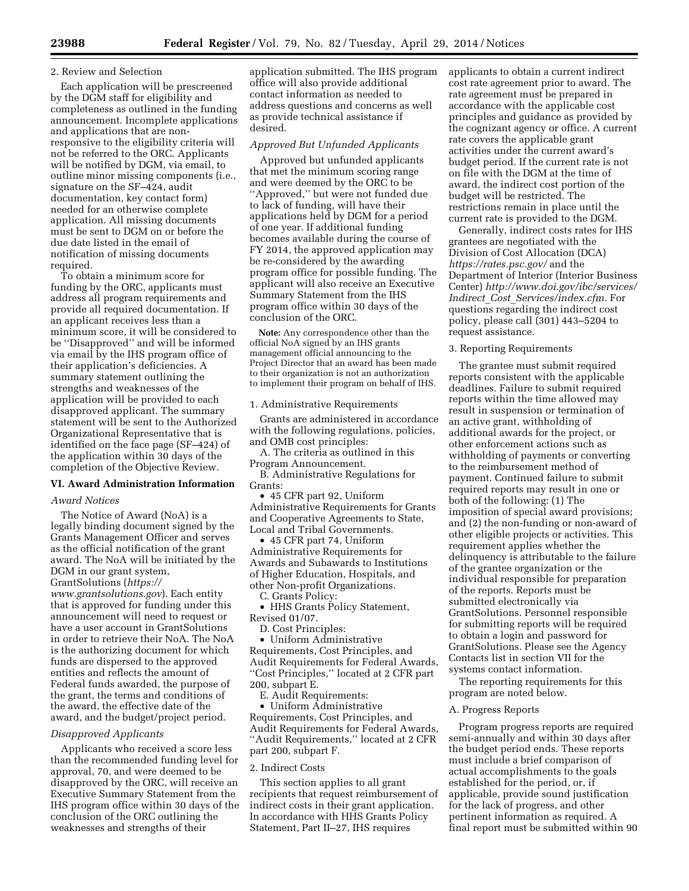### 2. Review and Selection

Each application will be prescreened by the DGM staff for eligibility and completeness as outlined in the funding announcement. Incomplete applications and applications that are nonresponsive to the eligibility criteria will not be referred to the ORC. Applicants will be notified by DGM, via email, to outline minor missing components (i.e., signature on the SF–424, audit documentation, key contact form) needed for an otherwise complete application. All missing documents must be sent to DGM on or before the due date listed in the email of notification of missing documents required.

To obtain a minimum score for funding by the ORC, applicants must address all program requirements and provide all required documentation. If an applicant receives less than a minimum score, it will be considered to be ''Disapproved'' and will be informed via email by the IHS program office of their application's deficiencies. A summary statement outlining the strengths and weaknesses of the application will be provided to each disapproved applicant. The summary statement will be sent to the Authorized Organizational Representative that is identified on the face page (SF–424) of the application within 30 days of the completion of the Objective Review.

# **VI. Award Administration Information**

# *Award Notices*

The Notice of Award (NoA) is a legally binding document signed by the Grants Management Officer and serves as the official notification of the grant award. The NoA will be initiated by the DGM in our grant system, GrantSolutions (*[https://](https://www.grantsolutions.gov) [www.grantsolutions.gov](https://www.grantsolutions.gov)*). Each entity that is approved for funding under this announcement will need to request or have a user account in GrantSolutions in order to retrieve their NoA. The NoA is the authorizing document for which funds are dispersed to the approved entities and reflects the amount of Federal funds awarded, the purpose of the grant, the terms and conditions of the award, the effective date of the award, and the budget/project period.

# *Disapproved Applicants*

Applicants who received a score less than the recommended funding level for approval, 70, and were deemed to be disapproved by the ORC, will receive an Executive Summary Statement from the IHS program office within 30 days of the conclusion of the ORC outlining the weaknesses and strengths of their

application submitted. The IHS program office will also provide additional contact information as needed to address questions and concerns as well as provide technical assistance if desired.

# *Approved But Unfunded Applicants*

Approved but unfunded applicants that met the minimum scoring range and were deemed by the ORC to be ''Approved,'' but were not funded due to lack of funding, will have their applications held by DGM for a period of one year. If additional funding becomes available during the course of FY 2014, the approved application may be re-considered by the awarding program office for possible funding. The applicant will also receive an Executive Summary Statement from the IHS program office within 30 days of the conclusion of the ORC.

**Note:** Any correspondence other than the official NoA signed by an IHS grants management official announcing to the Project Director that an award has been made to their organization is not an authorization to implement their program on behalf of IHS.

1. Administrative Requirements

Grants are administered in accordance with the following regulations, policies, and OMB cost principles:

A. The criteria as outlined in this Program Announcement.

B. Administrative Regulations for Grants:

• 45 CFR part 92, Uniform Administrative Requirements for Grants and Cooperative Agreements to State, Local and Tribal Governments.

• 45 CFR part 74, Uniform Administrative Requirements for Awards and Subawards to Institutions of Higher Education, Hospitals, and other Non-profit Organizations.

C. Grants Policy: • HHS Grants Policy Statement, Revised 01/07.

D. Cost Principles:

• Uniform Administrative Requirements, Cost Principles, and Audit Requirements for Federal Awards, ''Cost Principles,'' located at 2 CFR part 200, subpart E.

E. Audit Requirements:

• Uniform Administrative Requirements, Cost Principles, and Audit Requirements for Federal Awards, ''Audit Requirements,'' located at 2 CFR part 200, subpart F.

# 2. Indirect Costs

This section applies to all grant recipients that request reimbursement of indirect costs in their grant application. In accordance with HHS Grants Policy Statement, Part II–27, IHS requires

applicants to obtain a current indirect cost rate agreement prior to award. The rate agreement must be prepared in accordance with the applicable cost principles and guidance as provided by the cognizant agency or office. A current rate covers the applicable grant activities under the current award's budget period. If the current rate is not on file with the DGM at the time of award, the indirect cost portion of the budget will be restricted. The restrictions remain in place until the current rate is provided to the DGM.

Generally, indirect costs rates for IHS grantees are negotiated with the Division of Cost Allocation (DCA) *<https://rates.psc.gov/>* and the Department of Interior (Interior Business Center) *[http://www.doi.gov/ibc/services/](http://www.doi.gov/ibc/services/Indirect_Cost_Services/index.cfm) Indirect*\_*Cost*\_*[Services/index.cfm.](http://www.doi.gov/ibc/services/Indirect_Cost_Services/index.cfm)* For questions regarding the indirect cost policy, please call (301) 443–5204 to request assistance.

#### 3. Reporting Requirements

The grantee must submit required reports consistent with the applicable deadlines. Failure to submit required reports within the time allowed may result in suspension or termination of an active grant, withholding of additional awards for the project, or other enforcement actions such as withholding of payments or converting to the reimbursement method of payment. Continued failure to submit required reports may result in one or both of the following: (1) The imposition of special award provisions; and (2) the non-funding or non-award of other eligible projects or activities. This requirement applies whether the delinquency is attributable to the failure of the grantee organization or the individual responsible for preparation of the reports. Reports must be submitted electronically via GrantSolutions. Personnel responsible for submitting reports will be required to obtain a login and password for GrantSolutions. Please see the Agency Contacts list in section VII for the systems contact information.

The reporting requirements for this program are noted below.

# A. Progress Reports

Program progress reports are required semi-annually and within 30 days after the budget period ends. These reports must include a brief comparison of actual accomplishments to the goals established for the period, or, if applicable, provide sound justification for the lack of progress, and other pertinent information as required. A final report must be submitted within 90